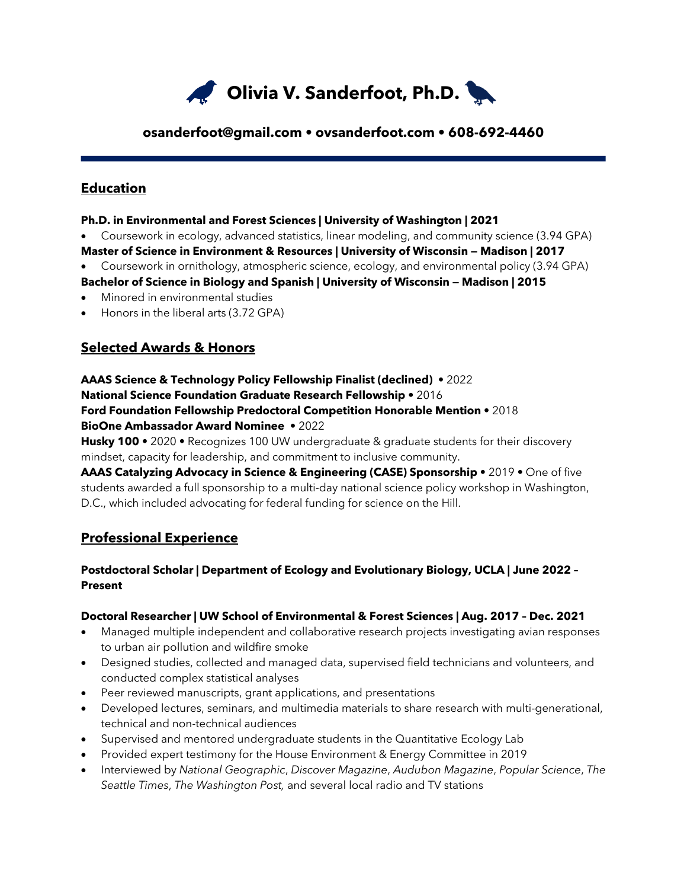

### **osanderfoot@gmail.com • ovsanderfoot.com • 608-692-4460**

### **Education**

#### **Ph.D. in Environmental and Forest Sciences | University of Washington | 2021**

- Coursework in ecology, advanced statistics, linear modeling, and community science (3.94 GPA) **Master of Science in Environment & Resources | University of Wisconsin — Madison | 2017**
- Coursework in ornithology, atmospheric science, ecology, and environmental policy (3.94 GPA)
- **Bachelor of Science in Biology and Spanish | University of Wisconsin — Madison | 2015** • Minored in environmental studies
- Honors in the liberal arts (3.72 GPA)

## **Selected Awards & Honors**

# **AAAS Science & Technology Policy Fellowship Finalist (declined)** • 2022 **National Science Foundation Graduate Research Fellowship** • 2016 **Ford Foundation Fellowship Predoctoral Competition Honorable Mention** • 2018

#### **BioOne Ambassador Award Nominee** • 2022

**Husky 100** • 2020 • Recognizes 100 UW undergraduate & graduate students for their discovery mindset, capacity for leadership, and commitment to inclusive community.

**AAAS Catalyzing Advocacy in Science & Engineering (CASE) Sponsorship** • 2019 • One of five students awarded a full sponsorship to a multi-day national science policy workshop in Washington, D.C., which included advocating for federal funding for science on the Hill.

## **Professional Experience**

### **Postdoctoral Scholar | Department of Ecology and Evolutionary Biology, UCLA | June 2022 – Present**

### **Doctoral Researcher | UW School of Environmental & Forest Sciences | Aug. 2017 – Dec. 2021**

- Managed multiple independent and collaborative research projects investigating avian responses to urban air pollution and wildfire smoke
- Designed studies, collected and managed data, supervised field technicians and volunteers, and conducted complex statistical analyses
- Peer reviewed manuscripts, grant applications, and presentations
- Developed lectures, seminars, and multimedia materials to share research with multi-generational, technical and non-technical audiences
- Supervised and mentored undergraduate students in the Quantitative Ecology Lab
- Provided expert testimony for the House Environment & Energy Committee in 2019
- Interviewed by *National Geographic*, *Discover Magazine*, *Audubon Magazine*, *Popular Science*, *The Seattle Times*, *The Washington Post,* and several local radio and TV stations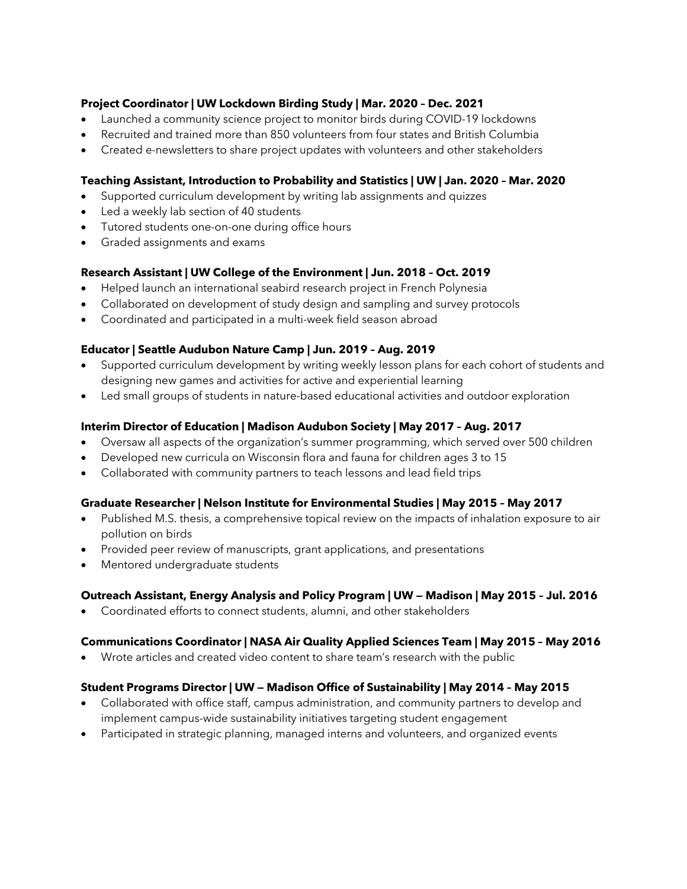#### **Project Coordinator | UW Lockdown Birding Study | Mar. 2020 – Dec. 2021**

- Launched a community science project to monitor birds during COVID-19 lockdowns
- Recruited and trained more than 850 volunteers from four states and British Columbia
- Created e-newsletters to share project updates with volunteers and other stakeholders

#### **Teaching Assistant, Introduction to Probability and Statistics | UW | Jan. 2020 – Mar. 2020**

- Supported curriculum development by writing lab assignments and quizzes
- Led a weekly lab section of 40 students
- Tutored students one-on-one during office hours
- Graded assignments and exams

#### **Research Assistant | UW College of the Environment | Jun. 2018 – Oct. 2019**

- Helped launch an international seabird research project in French Polynesia
- Collaborated on development of study design and sampling and survey protocols
- Coordinated and participated in a multi-week field season abroad

#### **Educator | Seattle Audubon Nature Camp | Jun. 2019 – Aug. 2019**

- Supported curriculum development by writing weekly lesson plans for each cohort of students and designing new games and activities for active and experiential learning
- Led small groups of students in nature-based educational activities and outdoor exploration

#### **Interim Director of Education | Madison Audubon Society | May 2017 – Aug. 2017**

- Oversaw all aspects of the organization's summer programming, which served over 500 children
- Developed new curricula on Wisconsin flora and fauna for children ages 3 to 15
- Collaborated with community partners to teach lessons and lead field trips

#### **Graduate Researcher | Nelson Institute for Environmental Studies | May 2015 – May 2017**

- Published M.S. thesis, a comprehensive topical review on the impacts of inhalation exposure to air pollution on birds
- Provided peer review of manuscripts, grant applications, and presentations
- Mentored undergraduate students

#### **Outreach Assistant, Energy Analysis and Policy Program | UW — Madison | May 2015 – Jul. 2016**

• Coordinated efforts to connect students, alumni, and other stakeholders

### **Communications Coordinator | NASA Air Quality Applied Sciences Team | May 2015 – May 2016**

• Wrote articles and created video content to share team's research with the public

#### **Student Programs Director | UW — Madison Office of Sustainability | May 2014 – May 2015**

- Collaborated with office staff, campus administration, and community partners to develop and implement campus-wide sustainability initiatives targeting student engagement
- Participated in strategic planning, managed interns and volunteers, and organized events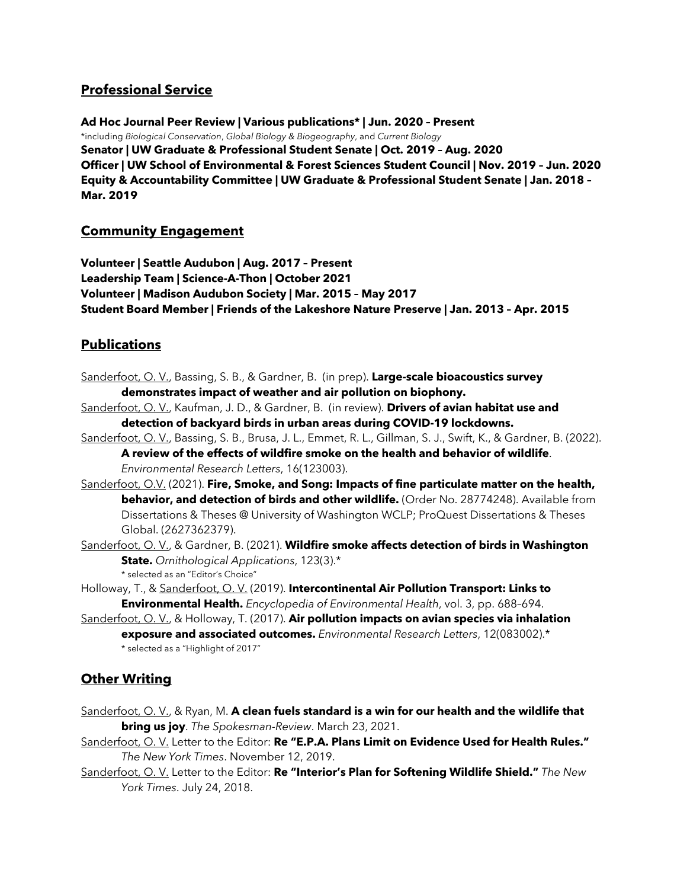## **Professional Service**

**Ad Hoc Journal Peer Review | Various publications\* | Jun. 2020 – Present** \*including *Biological Conservation*, *Global Biology & Biogeography*, and *Current Biology* **Senator | UW Graduate & Professional Student Senate | Oct. 2019 – Aug. 2020 Officer | UW School of Environmental & Forest Sciences Student Council | Nov. 2019 – Jun. 2020 Equity & Accountability Committee | UW Graduate & Professional Student Senate | Jan. 2018 – Mar. 2019**

## **Community Engagement**

**Volunteer | Seattle Audubon | Aug. 2017 – Present Leadership Team | Science-A-Thon | October 2021 Volunteer | Madison Audubon Society | Mar. 2015 – May 2017 Student Board Member | Friends of the Lakeshore Nature Preserve | Jan. 2013 – Apr. 2015** 

## **Publications**

Sanderfoot, O. V., Bassing, S. B., & Gardner, B. (in prep). **Large-scale bioacoustics survey demonstrates impact of weather and air pollution on biophony.**

- Sanderfoot, O. V., Kaufman, J. D., & Gardner, B. (in review). **Drivers of avian habitat use and detection of backyard birds in urban areas during COVID-19 lockdowns.**
- Sanderfoot, O. V., Bassing, S. B., Brusa, J. L., Emmet, R. L., Gillman, S. J., Swift, K., & Gardner, B. (2022). **A review of the effects of wildfire smoke on the health and behavior of wildlife**. *Environmental Research Letters*, 16(123003).
- Sanderfoot, O.V. (2021). **Fire, Smoke, and Song: Impacts of fine particulate matter on the health, behavior, and detection of birds and other wildlife.** (Order No. 28774248). Available from Dissertations & Theses @ University of Washington WCLP; ProQuest Dissertations & Theses Global. (2627362379).
- Sanderfoot, O. V., & Gardner, B. (2021). **Wildfire smoke affects detection of birds in Washington State.** *Ornithological Applications*, 123(3).\* \* selected as an "Editor's Choice"

Holloway, T., & Sanderfoot, O. V. (2019). **Intercontinental Air Pollution Transport: Links to Environmental Health.** *Encyclopedia of Environmental Health*, vol. 3, pp. 688–694.

Sanderfoot, O. V., & Holloway, T. (2017). **Air pollution impacts on avian species via inhalation exposure and associated outcomes.** *Environmental Research Letters*, 12(083002).\* \* selected as a "Highlight of 2017"

# **Other Writing**

- Sanderfoot, O. V., & Ryan, M. **A clean fuels standard is a win for our health and the wildlife that bring us joy**. *The Spokesman-Review*. March 23, 2021.
- Sanderfoot, O. V. Letter to the Editor: **Re "E.P.A. Plans Limit on Evidence Used for Health Rules."** *The New York Times*. November 12, 2019.
- Sanderfoot, O. V. Letter to the Editor: **Re "Interior's Plan for Softening Wildlife Shield."** *The New York Times*. July 24, 2018.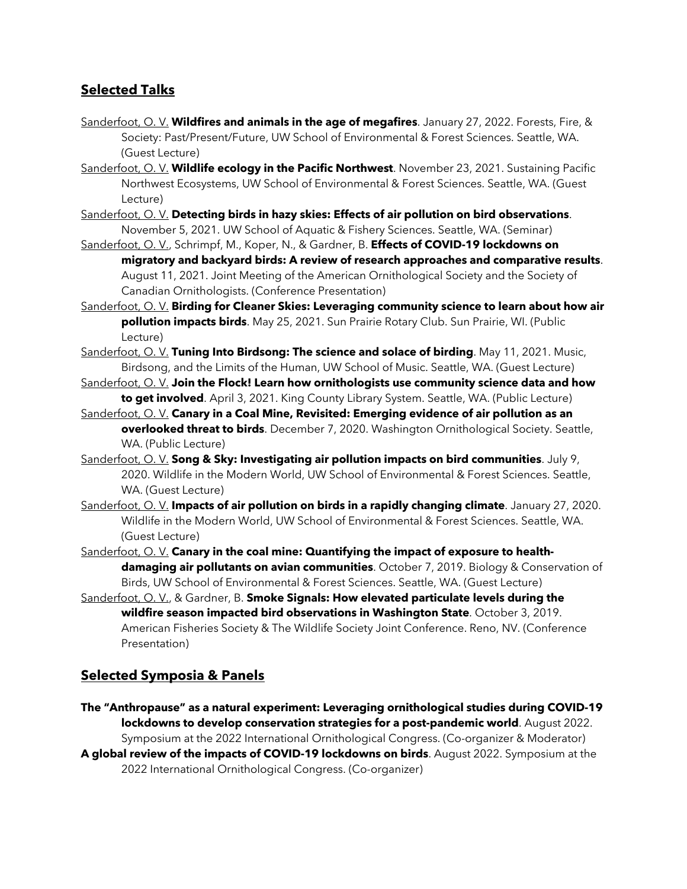## **Selected Talks**

- Sanderfoot, O. V. **Wildfires and animals in the age of megafires**. January 27, 2022. Forests, Fire, & Society: Past/Present/Future, UW School of Environmental & Forest Sciences. Seattle, WA. (Guest Lecture)
- Sanderfoot, O. V. **Wildlife ecology in the Pacific Northwest**. November 23, 2021. Sustaining Pacific Northwest Ecosystems, UW School of Environmental & Forest Sciences. Seattle, WA. (Guest Lecture)
- Sanderfoot, O. V. **Detecting birds in hazy skies: Effects of air pollution on bird observations**. November 5, 2021. UW School of Aquatic & Fishery Sciences. Seattle, WA. (Seminar)
- Sanderfoot, O. V., Schrimpf, M., Koper, N., & Gardner, B. **Effects of COVID-19 lockdowns on migratory and backyard birds: A review of research approaches and comparative results**. August 11, 2021. Joint Meeting of the American Ornithological Society and the Society of Canadian Ornithologists. (Conference Presentation)
- Sanderfoot, O. V. **Birding for Cleaner Skies: Leveraging community science to learn about how air pollution impacts birds**. May 25, 2021. Sun Prairie Rotary Club. Sun Prairie, WI. (Public Lecture)
- Sanderfoot, O. V. **Tuning Into Birdsong: The science and solace of birding**. May 11, 2021. Music, Birdsong, and the Limits of the Human, UW School of Music. Seattle, WA. (Guest Lecture)
- Sanderfoot, O. V. **Join the Flock! Learn how ornithologists use community science data and how to get involved**. April 3, 2021. King County Library System. Seattle, WA. (Public Lecture)
- Sanderfoot, O. V. **Canary in a Coal Mine, Revisited: Emerging evidence of air pollution as an overlooked threat to birds**. December 7, 2020. Washington Ornithological Society. Seattle, WA. (Public Lecture)
- Sanderfoot, O. V. **Song & Sky: Investigating air pollution impacts on bird communities**. July 9, 2020. Wildlife in the Modern World, UW School of Environmental & Forest Sciences. Seattle, WA. (Guest Lecture)
- Sanderfoot, O. V. **Impacts of air pollution on birds in a rapidly changing climate**. January 27, 2020. Wildlife in the Modern World, UW School of Environmental & Forest Sciences. Seattle, WA. (Guest Lecture)
- Sanderfoot, O. V. **Canary in the coal mine: Quantifying the impact of exposure to healthdamaging air pollutants on avian communities**. October 7, 2019. Biology & Conservation of Birds, UW School of Environmental & Forest Sciences. Seattle, WA. (Guest Lecture)
- Sanderfoot, O. V., & Gardner, B. **Smoke Signals: How elevated particulate levels during the wildfire season impacted bird observations in Washington State**. October 3, 2019. American Fisheries Society & The Wildlife Society Joint Conference. Reno, NV. (Conference Presentation)

## **Selected Symposia & Panels**

**The "Anthropause" as a natural experiment: Leveraging ornithological studies during COVID-19 lockdowns to develop conservation strategies for a post-pandemic world**. August 2022. Symposium at the 2022 International Ornithological Congress. (Co-organizer & Moderator) **A global review of the impacts of COVID-19 lockdowns on birds**. August 2022. Symposium at the 2022 International Ornithological Congress. (Co-organizer)